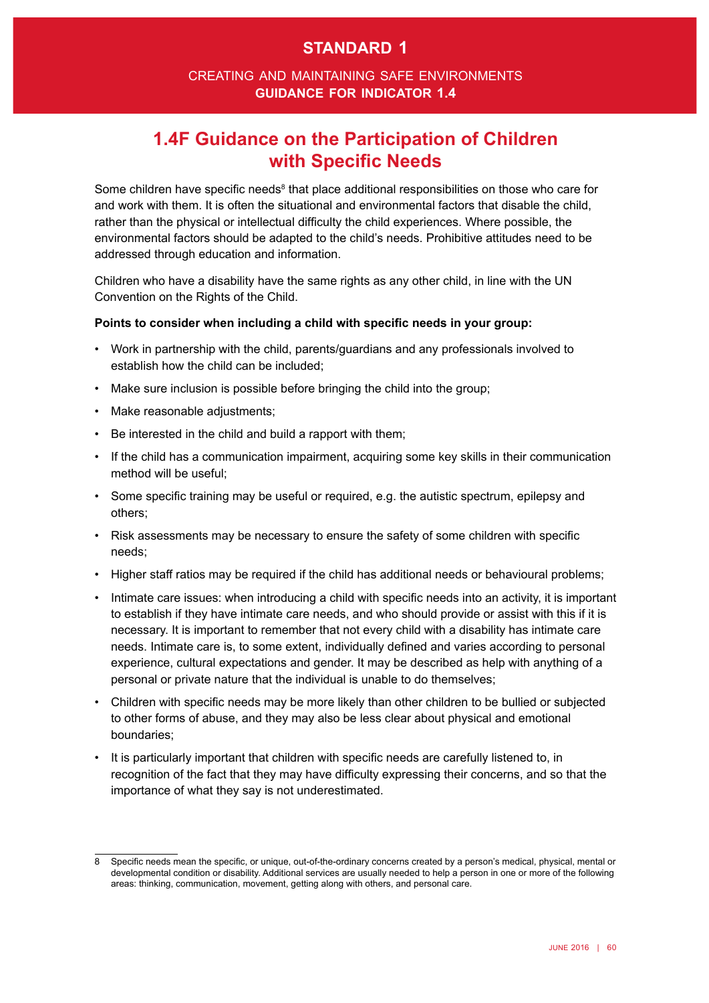# **standard 1**

### creating and maintaining safe environments **guidance for indicator 1.4**

# **1.4F Guidance on the Participation of Children with Specific Needs**

Some children have specific needs<sup>8</sup> that place additional responsibilities on those who care for and work with them. It is often the situational and environmental factors that disable the child, rather than the physical or intellectual diffculty the child experiences. Where possible, the environmental factors should be adapted to the child's needs. Prohibitive attitudes need to be addressed through education and information.

Children who have a disability have the same rights as any other child, in line with the UN Convention on the Rights of the Child.

#### **Points to consider when including a child with specifc needs in your group:**

- • Work in partnership with the child, parents/guardians and any professionals involved to establish how the child can be included;
- Make sure inclusion is possible before bringing the child into the group;
- Make reasonable adjustments:
- Be interested in the child and build a rapport with them;
- If the child has a communication impairment, acquiring some key skills in their communication method will be useful;
- Some specific training may be useful or required, e.g. the autistic spectrum, epilepsy and others;
- Risk assessments may be necessary to ensure the safety of some children with specific needs;
- Higher staff ratios may be required if the child has additional needs or behavioural problems;
- Intimate care issues: when introducing a child with specific needs into an activity, it is important to establish if they have intimate care needs, and who should provide or assist with this if it is necessary. It is important to remember that not every child with a disability has intimate care needs. Intimate care is, to some extent, individually defned and varies according to personal experience, cultural expectations and gender. It may be described as help with anything of a personal or private nature that the individual is unable to do themselves;
- Children with specific needs may be more likely than other children to be bullied or subjected to other forms of abuse, and they may also be less clear about physical and emotional boundaries;
- It is particularly important that children with specific needs are carefully listened to, in recognition of the fact that they may have difficulty expressing their concerns, and so that the importance of what they say is not underestimated.

<sup>8</sup> Specifc needs mean the specifc, or unique, out-of-the-ordinary concerns created by a person's medical, physical, mental or developmental condition or disability. Additional services are usually needed to help a person in one or more of the following areas: thinking, communication, movement, getting along with others, and personal care.